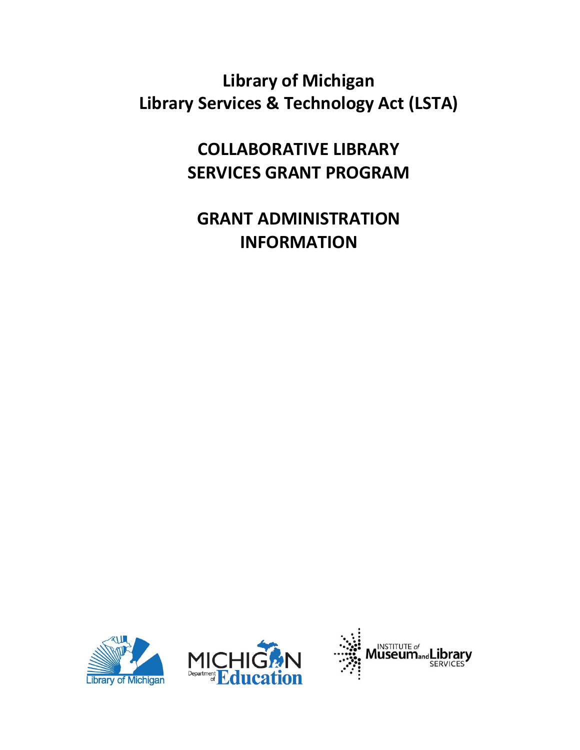# **Library of Michigan Library Services & Technology Act (LSTA)**

**COLLABORATIVE LIBRARY SERVICES GRANT PROGRAM**

# **GRANT ADMINISTRATION INFORMATION**





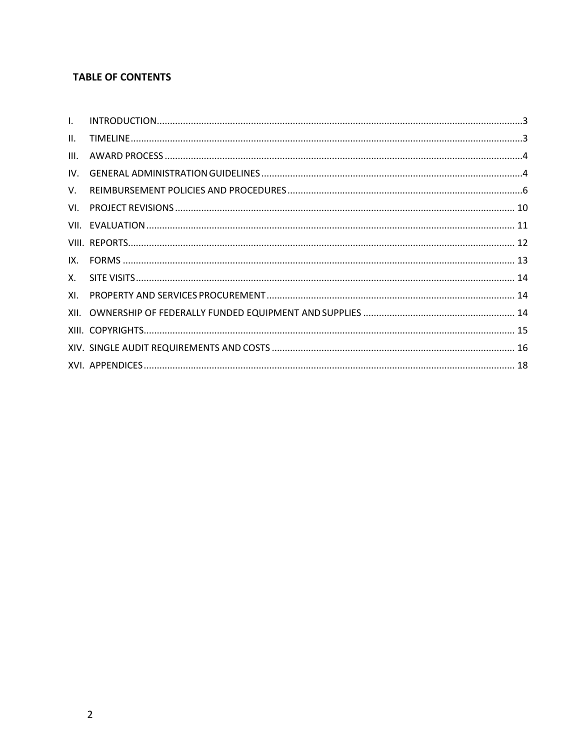# **TABLE OF CONTENTS**

| $\mathbf{L}$ |  |
|--------------|--|
| II.          |  |
| III.         |  |
| IV.          |  |
| V.           |  |
|              |  |
|              |  |
|              |  |
|              |  |
|              |  |
| XI.          |  |
|              |  |
|              |  |
|              |  |
|              |  |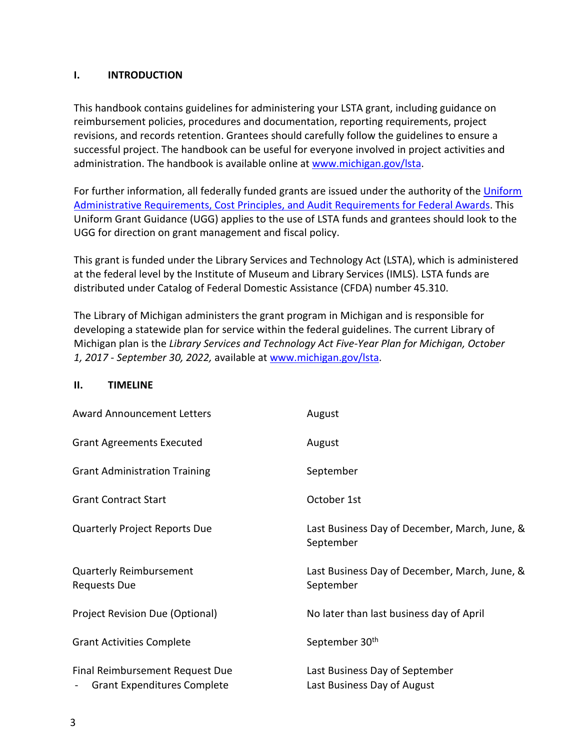## <span id="page-2-0"></span>**I. INTRODUCTION**

This handbook contains guidelines for administering your LSTA grant, including guidance on reimbursement policies, procedures and documentation, reporting requirements, project revisions, and records retention. Grantees should carefully follow the guidelines to ensure a successful project. The handbook can be useful for everyone involved in project activities and administration. The handbook is available online at [www.michigan.gov/lsta.](http://www.michigan.gov/lsta)

For further information, all federally funded grants are issued under the authority of the [Uniform](https://www.federalregister.gov/articles/2013/12/26/2013-30465/uniform-administrative-requirements-cost-principles-and-audit-requirements-for-federal-awards#sec-200-33)  [Administrative Requirements, Cost Principles, and Audit Requirements for](https://www.federalregister.gov/articles/2013/12/26/2013-30465/uniform-administrative-requirements-cost-principles-and-audit-requirements-for-federal-awards#sec-200-33) [Federal Awards.](https://www.federalregister.gov/articles/2013/12/26/2013-30465/uniform-administrative-requirements-cost-principles-and-audit-requirements-for-federal-awards#sec-200-33) This Uniform Grant Guidance (UGG) applies to the use of LSTA funds and grantees should look to the UGG for direction on grant management and fiscal policy.

This grant is funded under the Library Services and Technology Act (LSTA), which is administered at the federal level by the Institute of Museum and Library Services (IMLS). LSTA funds are distributed under Catalog of Federal Domestic Assistance (CFDA) number 45.310.

The Library of Michigan administers the grant program in Michigan and is responsible for developing a statewide plan for service within the federal guidelines. The current Library of Michigan plan is the *Library Services and Technology Act Five-Year Plan for Michigan, October 1, 2017 - September 30, 2022,* available at [www.michigan.gov/lsta.](http://www.michigan.gov/lsta)

#### <span id="page-2-1"></span>**II. TIMELINE**

| <b>Award Announcement Letters</b>                                | August                                                        |
|------------------------------------------------------------------|---------------------------------------------------------------|
| <b>Grant Agreements Executed</b>                                 | August                                                        |
| <b>Grant Administration Training</b>                             | September                                                     |
| <b>Grant Contract Start</b>                                      | October 1st                                                   |
| <b>Quarterly Project Reports Due</b>                             | Last Business Day of December, March, June, &<br>September    |
| <b>Quarterly Reimbursement</b><br><b>Requests Due</b>            | Last Business Day of December, March, June, &<br>September    |
| Project Revision Due (Optional)                                  | No later than last business day of April                      |
| <b>Grant Activities Complete</b>                                 | September 30 <sup>th</sup>                                    |
| Final Reimbursement Request Due<br>- Grant Expenditures Complete | Last Business Day of September<br>Last Business Day of August |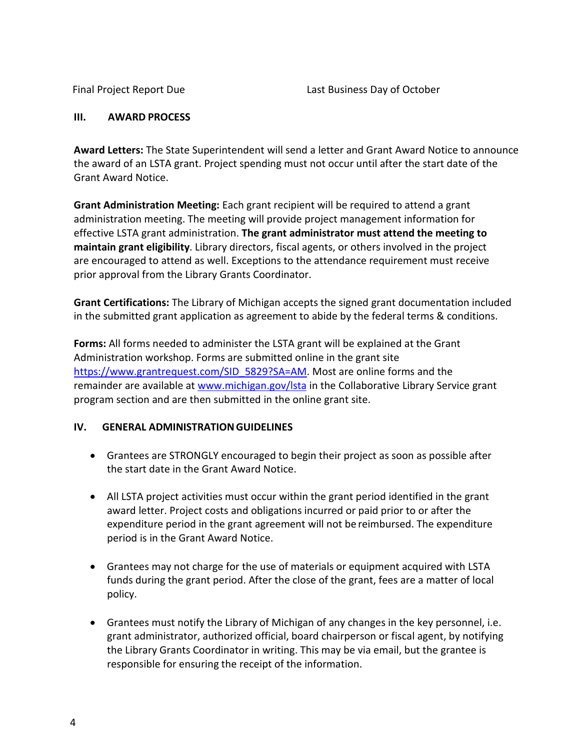## <span id="page-3-0"></span>**III. AWARD PROCESS**

**Award Letters:** The State Superintendent will send a letter and Grant Award Notice to announce the award of an LSTA grant. Project spending must not occur until after the start date of the Grant Award Notice.

**Grant Administration Meeting:** Each grant recipient will be required to attend a grant administration meeting. The meeting will provide project management information for effective LSTA grant administration. **The grant administrator must attend the meeting to maintain grant eligibility**. Library directors, fiscal agents, or others involved in the project are encouraged to attend as well. Exceptions to the attendance requirement must receive prior approval from the Library Grants Coordinator.

**Grant Certifications:** The Library of Michigan accepts the signed grant documentation included in the submitted grant application as agreement to abide by the federal terms & conditions.

**Forms:** All forms needed to administer the LSTA grant will be explained at the Grant Administration workshop. Forms are submitted online in the grant site [https://www.grantrequest.com/SID\\_5829?SA=AM.](https://www.grantrequest.com/SID_5829?SA=AM) Most are online forms and the remainder are available at [www.michigan.gov/lsta](http://www.michigan.gov/lsta) in the Collaborative Library Service grant program section and are then submitted in the online grant site.

# <span id="page-3-1"></span>**IV. GENERAL ADMINISTRATIONGUIDELINES**

- Grantees are STRONGLY encouraged to begin their project as soon as possible after the start date in the Grant Award Notice.
- All LSTA project activities must occur within the grant period identified in the grant award letter. Project costs and obligations incurred or paid prior to or after the expenditure period in the grant agreement will not be reimbursed. The expenditure period is in the Grant Award Notice.
- Grantees may not charge for the use of materials or equipment acquired with LSTA funds during the grant period. After the close of the grant, fees are a matter of local policy.
- Grantees must notify the Library of Michigan of any changes in the key personnel, i.e. grant administrator, authorized official, board chairperson or fiscal agent, by notifying the Library Grants Coordinator in writing. This may be via email, but the grantee is responsible for ensuring the receipt of the information.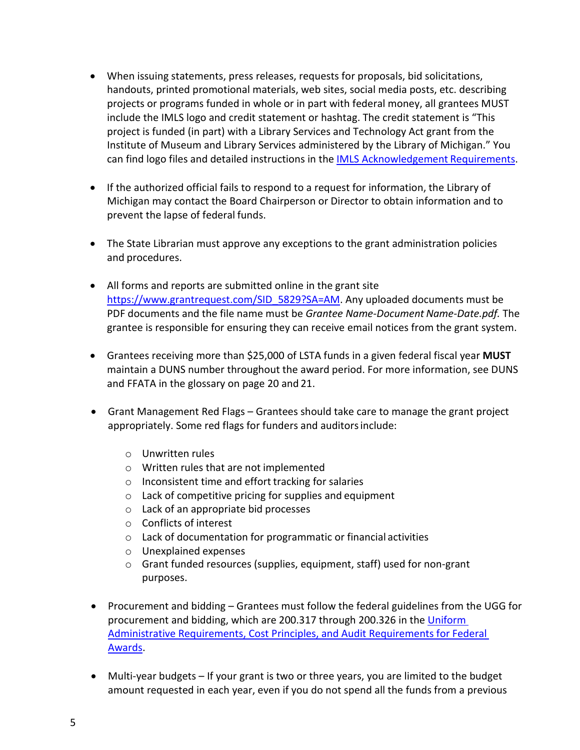- When issuing statements, press releases, requests for proposals, bid solicitations, handouts, printed promotional materials, web sites, social media posts, etc. describing projects or programs funded in whole or in part with federal money, all grantees MUST include the IMLS logo and credit statement or hashtag. The credit statement is "This project is funded (in part) with a Library Services and Technology Act grant from the Institute of Museum and Library Services administered by the Library of Michigan." You can find logo files and detailed instructions in the [IMLS Acknowledgement](https://www.imls.gov/grants/grant-recipients/grantee-communications-kit/imls-acknowledgement-requirments) Requirements.
- If the authorized official fails to respond to a request for information, the Library of Michigan may contact the Board Chairperson or Director to obtain information and to prevent the lapse of federal funds.
- The State Librarian must approve any exceptions to the grant administration policies and procedures.
- All forms and reports are submitted online in the grant site [https://www.grantrequest.com/SID\\_5829?SA=AM.](https://www.grantrequest.com/SID_5829?SA=AM) Any uploaded documents must be PDF documents and the file name must be *Grantee Name-Document Name-Date.pdf.* The grantee is responsible for ensuring they can receive email notices from the grant system.
- Grantees receiving more than \$25,000 of LSTA funds in a given federal fiscal year **MUST** maintain a DUNS number throughout the award period. For more information, see DUNS and FFATA in the glossary on page 20 and 21.
- Grant Management Red Flags Grantees should take care to manage the grant project appropriately. Some red flags for funders and auditorsinclude:
	- o Unwritten rules
	- o Written rules that are not implemented
	- o Inconsistent time and effort tracking for salaries
	- o Lack of competitive pricing for supplies and equipment
	- o Lack of an appropriate bid processes
	- o Conflicts of interest
	- o Lack of documentation for programmatic or financial activities
	- o Unexplained expenses
	- o Grant funded resources (supplies, equipment, staff) used for non-grant purposes.
- Procurement and bidding Grantees must follow the federal guidelines from the UGG for procurement and bidding, which are 200.317 through 200.326 in the Uniform [Administrative Requirements, Cost Principles, and Audit Requirements for Federal](https://www.federalregister.gov/articles/2013/12/26/2013-30465/uniform-administrative-requirements-cost-principles-and-audit-requirements-for-federal-awards#sec-200-33) [Awards.](https://www.federalregister.gov/articles/2013/12/26/2013-30465/uniform-administrative-requirements-cost-principles-and-audit-requirements-for-federal-awards#sec-200-33)
- Multi-year budgets If your grant is two or three years, you are limited to the budget amount requested in each year, even if you do not spend all the funds from a previous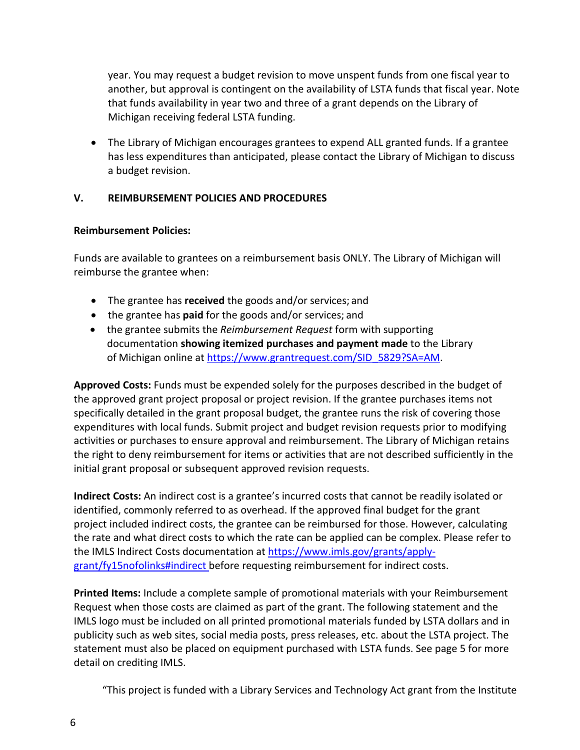year. You may request a budget revision to move unspent funds from one fiscal year to another, but approval is contingent on the availability of LSTA funds that fiscal year. Note that funds availability in year two and three of a grant depends on the Library of Michigan receiving federal LSTA funding.

• The Library of Michigan encourages grantees to expend ALL granted funds. If a grantee has less expenditures than anticipated, please contact the Library of Michigan to discuss a budget revision.

# <span id="page-5-0"></span>**V. REIMBURSEMENT POLICIES AND PROCEDURES**

# **Reimbursement Policies:**

Funds are available to grantees on a reimbursement basis ONLY. The Library of Michigan will reimburse the grantee when:

- The grantee has **received** the goods and/or services; and
- the grantee has **paid** for the goods and/or services; and
- the grantee submits the *Reimbursement Request* form with supporting documentation **showing itemized purchases and payment made** to the Library of Michigan online at [https://www.grantrequest.com/SID\\_5829?SA=AM.](https://www.grantrequest.com/SID_5829?SA=AM)

**Approved Costs:** Funds must be expended solely for the purposes described in the budget of the approved grant project proposal or project revision. If the grantee purchases items not specifically detailed in the grant proposal budget, the grantee runs the risk of covering those expenditures with local funds. Submit project and budget revision requests prior to modifying activities or purchases to ensure approval and reimbursement. The Library of Michigan retains the right to deny reimbursement for items or activities that are not described sufficiently in the initial grant proposal or subsequent approved revision requests.

**Indirect Costs:** An indirect cost is a grantee's incurred costs that cannot be readily isolated or identified, commonly referred to as overhead. If the approved final budget for the grant project included indirect costs, the grantee can be reimbursed for those. However, calculating the rate and what direct costs to which the rate can be applied can be complex. Please refer to the IMLS Indirect Costs documentation at [https://www.imls.gov/grants/apply](https://www.imls.gov/grants/apply-grant/fy15nofolinks#indirect)[grant/fy15nofolinks#indirect b](https://www.imls.gov/grants/apply-grant/fy15nofolinks#indirect)efore requesting reimbursement for indirect costs.

**Printed Items:** Include a complete sample of promotional materials with your Reimbursement Request when those costs are claimed as part of the grant. The following statement and the IMLS logo must be included on all printed promotional materials funded by LSTA dollars and in publicity such as web sites, social media posts, press releases, etc. about the LSTA project. The statement must also be placed on equipment purchased with LSTA funds. See page 5 for more detail on crediting IMLS.

"This project is funded with a Library Services and Technology Act grant from the Institute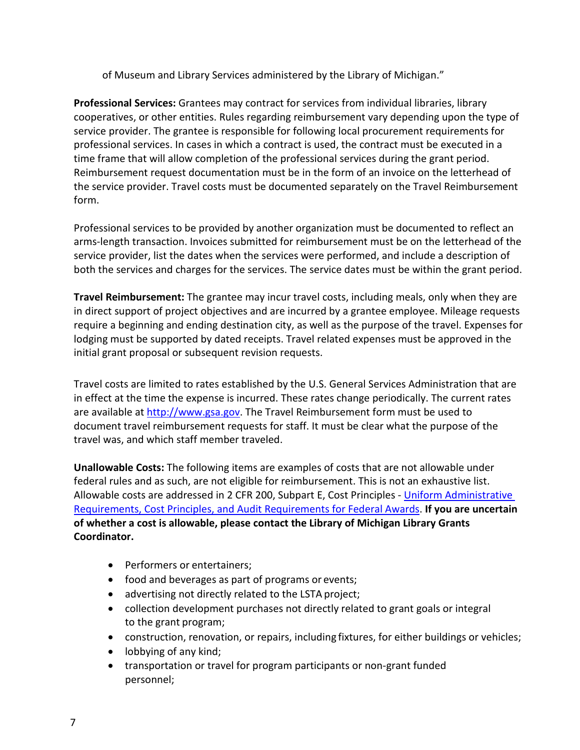of Museum and Library Services administered by the Library of Michigan."

**Professional Services:** Grantees may contract for services from individual libraries, library cooperatives, or other entities. Rules regarding reimbursement vary depending upon the type of service provider. The grantee is responsible for following local procurement requirements for professional services. In cases in which a contract is used, the contract must be executed in a time frame that will allow completion of the professional services during the grant period. Reimbursement request documentation must be in the form of an invoice on the letterhead of the service provider. Travel costs must be documented separately on the Travel Reimbursement form.

Professional services to be provided by another organization must be documented to reflect an arms-length transaction. Invoices submitted for reimbursement must be on the letterhead of the service provider, list the dates when the services were performed, and include a description of both the services and charges for the services. The service dates must be within the grant period.

**Travel Reimbursement:** The grantee may incur travel costs, including meals, only when they are in direct support of project objectives and are incurred by a grantee employee. Mileage requests require a beginning and ending destination city, as well as the purpose of the travel. Expenses for lodging must be supported by dated receipts. Travel related expenses must be approved in the initial grant proposal or subsequent revision requests.

Travel costs are limited to rates established by the U.S. General Services Administration that are in effect at the time the expense is incurred. These rates change periodically. The current rates are available at [http://www.gsa.gov.](http://www.gsa.gov/) The Travel Reimbursement form must be used to document travel reimbursement requests for staff. It must be clear what the purpose of the travel was, and which staff member traveled.

**Unallowable Costs:** The following items are examples of costs that are not allowable under federal rules and as such, are not eligible for reimbursement. This is not an exhaustive list. Allowable costs are addressed in 2 CFR 200, Subpart E, Cost Principles - [Uniform Administrative](https://www.federalregister.gov/articles/2013/12/26/2013-30465/uniform-administrative-requirements-cost-principles-and-audit-requirements-for-federal-awards#sec-200-33)  [Requirements, Cost Principles, and Audit Requirements for](https://www.federalregister.gov/articles/2013/12/26/2013-30465/uniform-administrative-requirements-cost-principles-and-audit-requirements-for-federal-awards#sec-200-33) [Federal Awards.](https://www.federalregister.gov/articles/2013/12/26/2013-30465/uniform-administrative-requirements-cost-principles-and-audit-requirements-for-federal-awards#sec-200-33) **If you are uncertain of whether a cost is allowable, please contact the Library of Michigan Library Grants Coordinator.**

- Performers or entertainers;
- food and beverages as part of programs or events;
- advertising not directly related to the LSTA project;
- collection development purchases not directly related to grant goals or integral to the grant program;
- construction, renovation, or repairs, including fixtures, for either buildings or vehicles;
- lobbying of any kind;
- transportation or travel for program participants or non-grant funded personnel;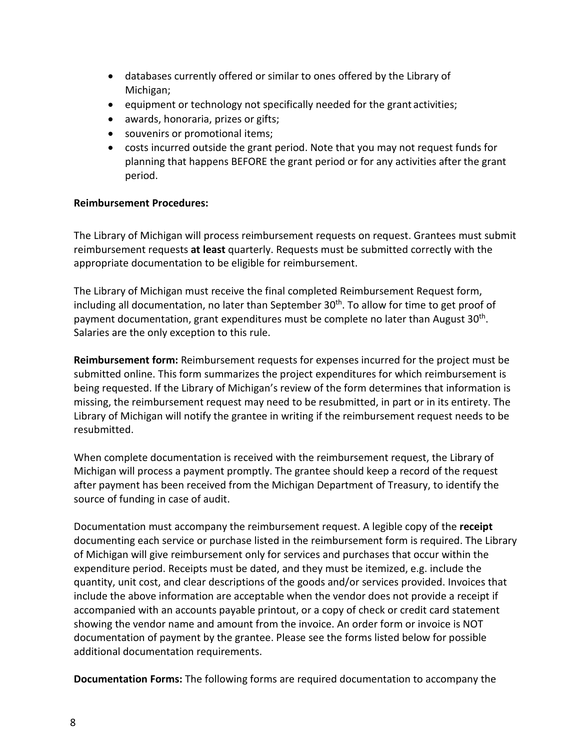- databases currently offered or similar to ones offered by the Library of Michigan;
- equipment or technology not specifically needed for the grant activities;
- awards, honoraria, prizes or gifts;
- souvenirs or promotional items;
- costs incurred outside the grant period. Note that you may not request funds for planning that happens BEFORE the grant period or for any activities after the grant period.

## **Reimbursement Procedures:**

The Library of Michigan will process reimbursement requests on request. Grantees must submit reimbursement requests **at least** quarterly. Requests must be submitted correctly with the appropriate documentation to be eligible for reimbursement.

The Library of Michigan must receive the final completed Reimbursement Request form, including all documentation, no later than September 30<sup>th</sup>. To allow for time to get proof of payment documentation, grant expenditures must be complete no later than August 30th. Salaries are the only exception to this rule.

**Reimbursement form:** Reimbursement requests for expenses incurred for the project must be submitted online. This form summarizes the project expenditures for which reimbursement is being requested. If the Library of Michigan's review of the form determines that information is missing, the reimbursement request may need to be resubmitted, in part or in its entirety. The Library of Michigan will notify the grantee in writing if the reimbursement request needs to be resubmitted.

When complete documentation is received with the reimbursement request, the Library of Michigan will process a payment promptly. The grantee should keep a record of the request after payment has been received from the Michigan Department of Treasury, to identify the source of funding in case of audit.

Documentation must accompany the reimbursement request. A legible copy of the **receipt** documenting each service or purchase listed in the reimbursement form is required. The Library of Michigan will give reimbursement only for services and purchases that occur within the expenditure period. Receipts must be dated, and they must be itemized, e.g. include the quantity, unit cost, and clear descriptions of the goods and/or services provided. Invoices that include the above information are acceptable when the vendor does not provide a receipt if accompanied with an accounts payable printout, or a copy of check or credit card statement showing the vendor name and amount from the invoice. An order form or invoice is NOT documentation of payment by the grantee. Please see the forms listed below for possible additional documentation requirements.

**Documentation Forms:** The following forms are required documentation to accompany the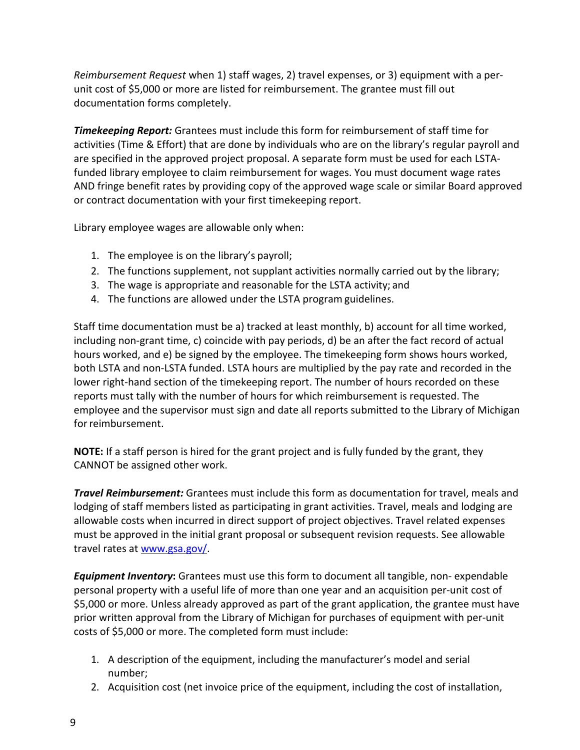*Reimbursement Request* when 1) staff wages, 2) travel expenses, or 3) equipment with a perunit cost of \$5,000 or more are listed for reimbursement. The grantee must fill out documentation forms completely.

*Timekeeping Report:* Grantees must include this form for reimbursement of staff time for activities (Time & Effort) that are done by individuals who are on the library's regular payroll and are specified in the approved project proposal. A separate form must be used for each LSTAfunded library employee to claim reimbursement for wages. You must document wage rates AND fringe benefit rates by providing copy of the approved wage scale or similar Board approved or contract documentation with your first timekeeping report.

Library employee wages are allowable only when:

- 1. The employee is on the library's payroll;
- 2. The functions supplement, not supplant activities normally carried out by the library;
- 3. The wage is appropriate and reasonable for the LSTA activity; and
- 4. The functions are allowed under the LSTA program guidelines.

Staff time documentation must be a) tracked at least monthly, b) account for all time worked, including non-grant time, c) coincide with pay periods, d) be an after the fact record of actual hours worked, and e) be signed by the employee. The timekeeping form shows hours worked, both LSTA and non-LSTA funded. LSTA hours are multiplied by the pay rate and recorded in the lower right-hand section of the timekeeping report. The number of hours recorded on these reports must tally with the number of hours for which reimbursement is requested. The employee and the supervisor must sign and date all reports submitted to the Library of Michigan for reimbursement.

**NOTE:** If a staff person is hired for the grant project and is fully funded by the grant, they CANNOT be assigned other work.

*Travel Reimbursement:* Grantees must include this form as documentation for travel, meals and lodging of staff members listed as participating in grant activities. Travel, meals and lodging are allowable costs when incurred in direct support of project objectives. Travel related expenses must be approved in the initial grant proposal or subsequent revision requests. See allowable travel rates at [www.gsa.gov/.](http://www.gsa.gov/)

*Equipment Inventory*: Grantees must use this form to document all tangible, non- expendable personal property with a useful life of more than one year and an acquisition per-unit cost of \$5,000 or more. Unless already approved as part of the grant application, the grantee must have prior written approval from the Library of Michigan for purchases of equipment with per-unit costs of \$5,000 or more. The completed form must include:

- 1. A description of the equipment, including the manufacturer's model and serial number;
- 2. Acquisition cost (net invoice price of the equipment, including the cost of installation,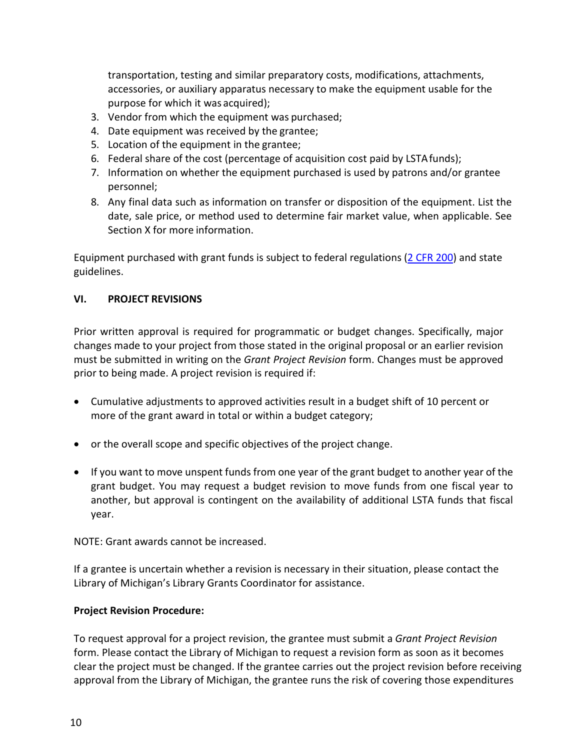transportation, testing and similar preparatory costs, modifications, attachments, accessories, or auxiliary apparatus necessary to make the equipment usable for the purpose for which it was acquired);

- 3. Vendor from which the equipment was purchased;
- 4. Date equipment was received by the grantee;
- 5. Location of the equipment in the grantee;
- 6. Federal share of the cost (percentage of acquisition cost paid by LSTAfunds);
- 7. Information on whether the equipment purchased is used by patrons and/or grantee personnel;
- 8. Any final data such as information on transfer or disposition of the equipment. List the date, sale price, or method used to determine fair market value, when applicable. See Section X for more information.

Equipment purchased with grant funds is subject to federal regulations [\(2 CFR 200\)](https://www.federalregister.gov/documents/2013/12/26/2013-30465/uniform-administrative-requirements-cost-principles-and-audit-requirements-for-federal-awards#sec-200-33) and state guidelines.

# <span id="page-9-0"></span>**VI. PROJECT REVISIONS**

Prior written approval is required for programmatic or budget changes. Specifically, major changes made to your project from those stated in the original proposal or an earlier revision must be submitted in writing on the *Grant Project Revision* form. Changes must be approved prior to being made. A project revision is required if:

- Cumulative adjustments to approved activities result in a budget shift of 10 percent or more of the grant award in total or within a budget category;
- or the overall scope and specific objectives of the project change.
- If you want to move unspent funds from one year of the grant budget to another year of the grant budget. You may request a budget revision to move funds from one fiscal year to another, but approval is contingent on the availability of additional LSTA funds that fiscal year.

NOTE: Grant awards cannot be increased.

If a grantee is uncertain whether a revision is necessary in their situation, please contact the Library of Michigan's Library Grants Coordinator for assistance.

# **Project Revision Procedure:**

To request approval for a project revision, the grantee must submit a *Grant Project Revision*  form. Please contact the Library of Michigan to request a revision form as soon as it becomes clear the project must be changed. If the grantee carries out the project revision before receiving approval from the Library of Michigan, the grantee runs the risk of covering those expenditures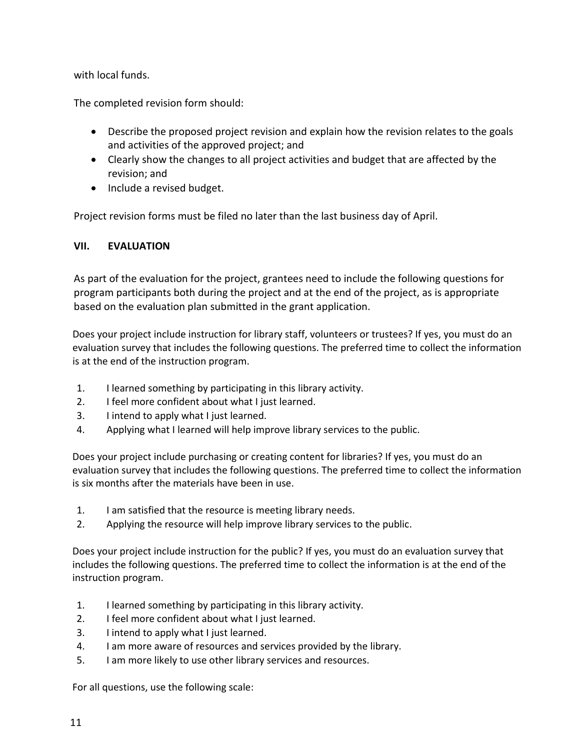with local funds.

The completed revision form should:

- Describe the proposed project revision and explain how the revision relates to the goals and activities of the approved project; and
- Clearly show the changes to all project activities and budget that are affected by the revision; and
- Include a revised budget.

Project revision forms must be filed no later than the last business day of April.

# <span id="page-10-0"></span>**VII. EVALUATION**

As part of the evaluation for the project, grantees need to include the following questions for program participants both during the project and at the end of the project, as is appropriate based on the evaluation plan submitted in the grant application.

Does your project include instruction for library staff, volunteers or trustees? If yes, you must do an evaluation survey that includes the following questions. The preferred time to collect the information is at the end of the instruction program.

- 1. I learned something by participating in this library activity.
- 2. I feel more confident about what I just learned.
- 3. I intend to apply what I just learned.
- 4. Applying what I learned will help improve library services to the public.

Does your project include purchasing or creating content for libraries? If yes, you must do an evaluation survey that includes the following questions. The preferred time to collect the information is six months after the materials have been in use.

- 1. I am satisfied that the resource is meeting library needs.
- 2. Applying the resource will help improve library services to the public.

Does your project include instruction for the public? If yes, you must do an evaluation survey that includes the following questions. The preferred time to collect the information is at the end of the instruction program.

- 1. I learned something by participating in this library activity.
- 2. I feel more confident about what I just learned.
- 3. I intend to apply what I just learned.
- 4. I am more aware of resources and services provided by the library.
- 5. I am more likely to use other library services and resources.

For all questions, use the following scale: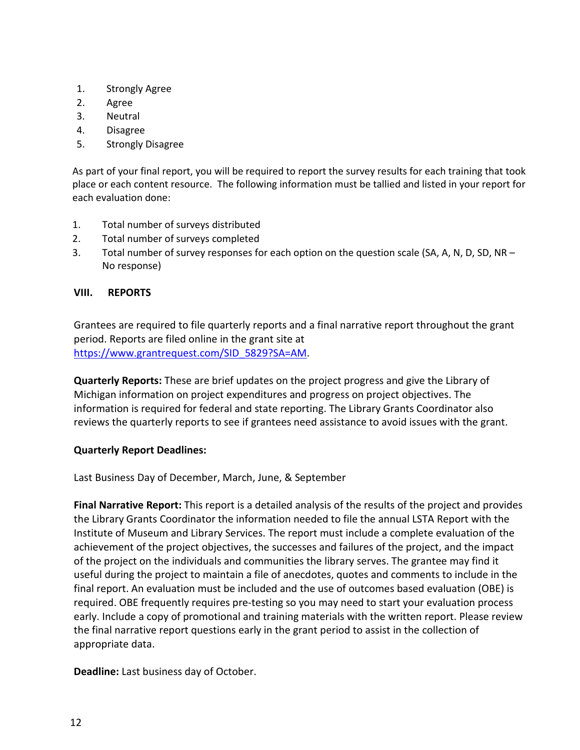- 1. Strongly Agree
- 2. Agree
- 3. Neutral
- 4. Disagree
- 5. Strongly Disagree

As part of your final report, you will be required to report the survey results for each training that took place or each content resource. The following information must be tallied and listed in your report for each evaluation done:

- 1. Total number of surveys distributed
- 2. Total number of surveys completed
- 3. Total number of survey responses for each option on the question scale (SA, A, N, D, SD, NR No response)

#### <span id="page-11-0"></span>**VIII. REPORTS**

Grantees are required to file quarterly reports and a final narrative report throughout the grant period. Reports are filed online in the grant site at [https://www.grantrequest.com/SID\\_5829?SA=AM.](https://www.grantrequest.com/SID_5829?SA=AM)

**Quarterly Reports:** These are brief updates on the project progress and give the Library of Michigan information on project expenditures and progress on project objectives. The information is required for federal and state reporting. The Library Grants Coordinator also reviews the quarterly reports to see if grantees need assistance to avoid issues with the grant.

#### **Quarterly Report Deadlines:**

Last Business Day of December, March, June, & September

**Final Narrative Report:** This report is a detailed analysis of the results of the project and provides the Library Grants Coordinator the information needed to file the annual LSTA Report with the Institute of Museum and Library Services. The report must include a complete evaluation of the achievement of the project objectives, the successes and failures of the project, and the impact of the project on the individuals and communities the library serves. The grantee may find it useful during the project to maintain a file of anecdotes, quotes and comments to include in the final report. An evaluation must be included and the use of outcomes based evaluation (OBE) is required. OBE frequently requires pre-testing so you may need to start your evaluation process early. Include a copy of promotional and training materials with the written report. Please review the final narrative report questions early in the grant period to assist in the collection of appropriate data.

**Deadline:** Last business day of October.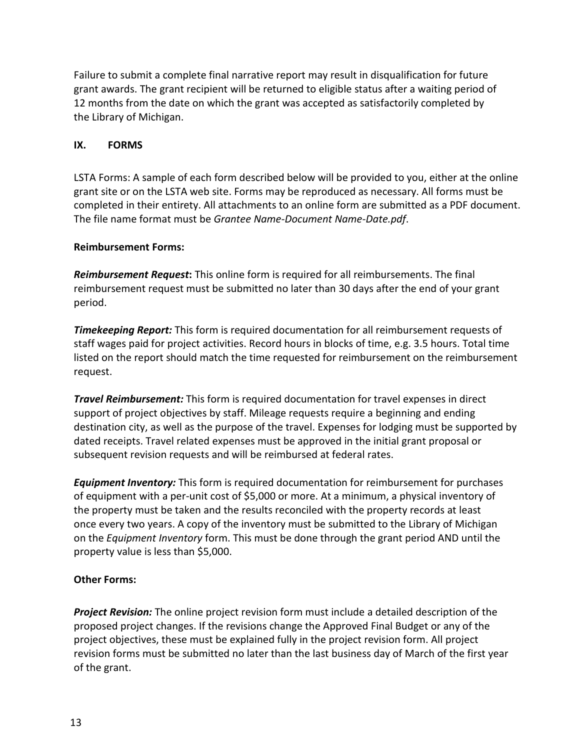Failure to submit a complete final narrative report may result in disqualification for future grant awards. The grant recipient will be returned to eligible status after a waiting period of 12 months from the date on which the grant was accepted as satisfactorily completed by the Library of Michigan.

# <span id="page-12-0"></span>**IX. FORMS**

LSTA Forms: A sample of each form described below will be provided to you, either at the online grant site or on the LSTA web site. Forms may be reproduced as necessary. All forms must be completed in their entirety. All attachments to an online form are submitted as a PDF document. The file name format must be *Grantee Name-Document Name-Date.pdf*.

# **Reimbursement Forms:**

*Reimbursement Request***:** This online form is required for all reimbursements. The final reimbursement request must be submitted no later than 30 days after the end of your grant period.

*Timekeeping Report:* This form is required documentation for all reimbursement requests of staff wages paid for project activities. Record hours in blocks of time, e.g. 3.5 hours. Total time listed on the report should match the time requested for reimbursement on the reimbursement request.

*Travel Reimbursement:* This form is required documentation for travel expenses in direct support of project objectives by staff. Mileage requests require a beginning and ending destination city, as well as the purpose of the travel. Expenses for lodging must be supported by dated receipts. Travel related expenses must be approved in the initial grant proposal or subsequent revision requests and will be reimbursed at federal rates.

*Equipment Inventory:* This form is required documentation for reimbursement for purchases of equipment with a per-unit cost of \$5,000 or more. At a minimum, a physical inventory of the property must be taken and the results reconciled with the property records at least once every two years. A copy of the inventory must be submitted to the Library of Michigan on the *Equipment Inventory* form. This must be done through the grant period AND until the property value is less than \$5,000.

# **Other Forms:**

*Project Revision:* The online project revision form must include a detailed description of the proposed project changes. If the revisions change the Approved Final Budget or any of the project objectives, these must be explained fully in the project revision form. All project revision forms must be submitted no later than the last business day of March of the first year of the grant.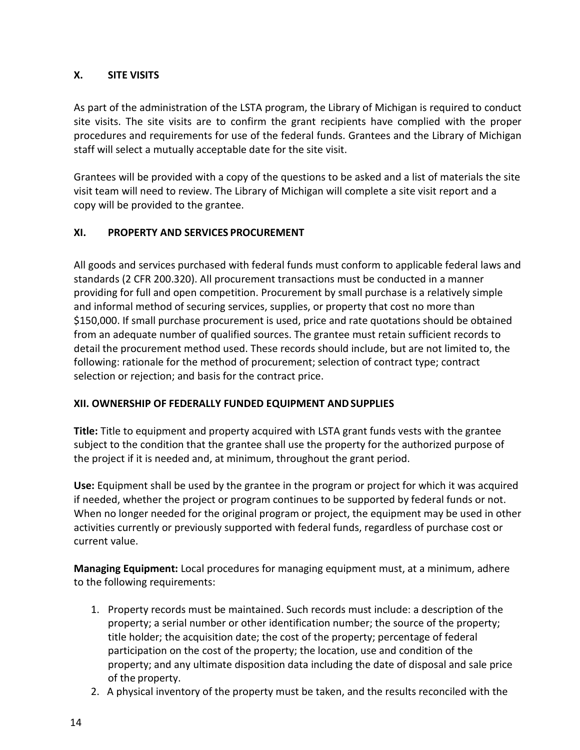# <span id="page-13-0"></span>**X. SITE VISITS**

As part of the administration of the LSTA program, the Library of Michigan is required to conduct site visits. The site visits are to confirm the grant recipients have complied with the proper procedures and requirements for use of the federal funds. Grantees and the Library of Michigan staff will select a mutually acceptable date for the site visit.

Grantees will be provided with a copy of the questions to be asked and a list of materials the site visit team will need to review. The Library of Michigan will complete a site visit report and a copy will be provided to the grantee.

# <span id="page-13-1"></span>**XI. PROPERTY AND SERVICES PROCUREMENT**

All goods and services purchased with federal funds must conform to applicable federal laws and standards (2 CFR 200.320). All procurement transactions must be conducted in a manner providing for full and open competition. Procurement by small purchase is a relatively simple and informal method of securing services, supplies, or property that cost no more than \$150,000. If small purchase procurement is used, price and rate quotations should be obtained from an adequate number of qualified sources. The grantee must retain sufficient records to detail the procurement method used. These records should include, but are not limited to, the following: rationale for the method of procurement; selection of contract type; contract selection or rejection; and basis for the contract price.

# <span id="page-13-2"></span>**XII. OWNERSHIP OF FEDERALLY FUNDED EQUIPMENT ANDSUPPLIES**

**Title:** Title to equipment and property acquired with LSTA grant funds vests with the grantee subject to the condition that the grantee shall use the property for the authorized purpose of the project if it is needed and, at minimum, throughout the grant period.

**Use:** Equipment shall be used by the grantee in the program or project for which it was acquired if needed, whether the project or program continues to be supported by federal funds or not. When no longer needed for the original program or project, the equipment may be used in other activities currently or previously supported with federal funds, regardless of purchase cost or current value.

**Managing Equipment:** Local procedures for managing equipment must, at a minimum, adhere to the following requirements:

- 1. Property records must be maintained. Such records must include: a description of the property; a serial number or other identification number; the source of the property; title holder; the acquisition date; the cost of the property; percentage of federal participation on the cost of the property; the location, use and condition of the property; and any ultimate disposition data including the date of disposal and sale price of the property.
- 2. A physical inventory of the property must be taken, and the results reconciled with the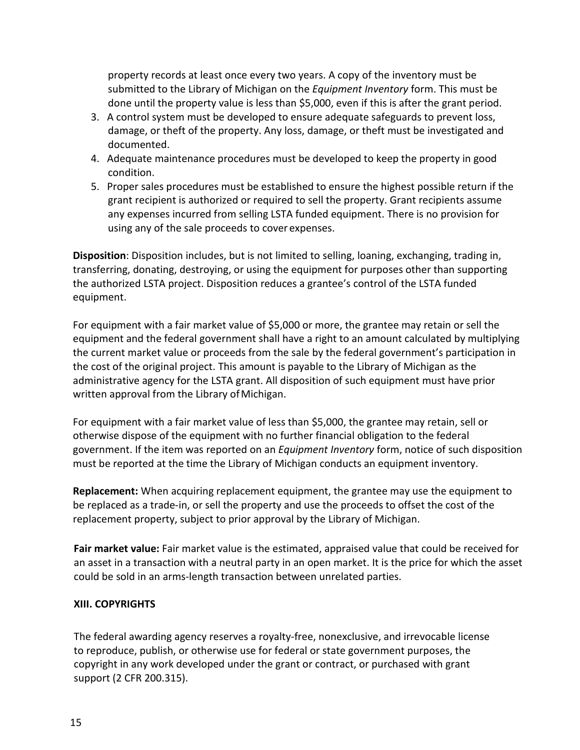property records at least once every two years. A copy of the inventory must be submitted to the Library of Michigan on the *Equipment Inventory* form. This must be done until the property value is less than \$5,000, even if this is after the grant period.

- 3. A control system must be developed to ensure adequate safeguards to prevent loss, damage, or theft of the property. Any loss, damage, or theft must be investigated and documented.
- 4. Adequate maintenance procedures must be developed to keep the property in good condition.
- 5. Proper sales procedures must be established to ensure the highest possible return if the grant recipient is authorized or required to sell the property. Grant recipients assume any expenses incurred from selling LSTA funded equipment. There is no provision for using any of the sale proceeds to cover expenses.

**Disposition**: Disposition includes, but is not limited to selling, loaning, exchanging, trading in, transferring, donating, destroying, or using the equipment for purposes other than supporting the authorized LSTA project. Disposition reduces a grantee's control of the LSTA funded equipment.

For equipment with a fair market value of \$5,000 or more, the grantee may retain or sell the equipment and the federal government shall have a right to an amount calculated by multiplying the current market value or proceeds from the sale by the federal government's participation in the cost of the original project. This amount is payable to the Library of Michigan as the administrative agency for the LSTA grant. All disposition of such equipment must have prior written approval from the Library of Michigan.

For equipment with a fair market value of less than \$5,000, the grantee may retain, sell or otherwise dispose of the equipment with no further financial obligation to the federal government. If the item was reported on an *Equipment Inventory* form, notice of such disposition must be reported at the time the Library of Michigan conducts an equipment inventory.

**Replacement:** When acquiring replacement equipment, the grantee may use the equipment to be replaced as a trade-in, or sell the property and use the proceeds to offset the cost of the replacement property, subject to prior approval by the Library of Michigan.

**Fair market value:** Fair market value is the estimated, appraised value that could be received for an asset in a transaction with a neutral party in an open market. It is the price for which the asset could be sold in an arms-length transaction between unrelated parties.

# <span id="page-14-0"></span>**XIII. COPYRIGHTS**

The federal awarding agency reserves a royalty-free, nonexclusive, and irrevocable license to reproduce, publish, or otherwise use for federal or state government purposes, the copyright in any work developed under the grant or contract, or purchased with grant support (2 CFR 200.315).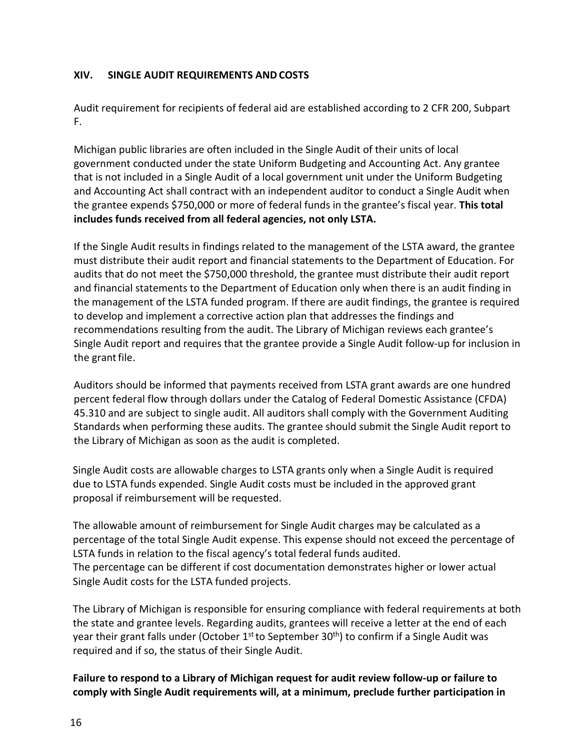# <span id="page-15-0"></span>**XIV. SINGLE AUDIT REQUIREMENTS AND COSTS**

Audit requirement for recipients of federal aid are established according to 2 CFR 200, Subpart F.

Michigan public libraries are often included in the Single Audit of their units of local government conducted under the state Uniform Budgeting and Accounting Act. Any grantee that is not included in a Single Audit of a local government unit under the Uniform Budgeting and Accounting Act shall contract with an independent auditor to conduct a Single Audit when the grantee expends \$750,000 or more of federal funds in the grantee's fiscal year. **This total includes funds received from all federal agencies, not only LSTA.**

If the Single Audit results in findings related to the management of the LSTA award, the grantee must distribute their audit report and financial statements to the Department of Education. For audits that do not meet the \$750,000 threshold, the grantee must distribute their audit report and financial statements to the Department of Education only when there is an audit finding in the management of the LSTA funded program. If there are audit findings, the grantee is required to develop and implement a corrective action plan that addresses the findings and recommendations resulting from the audit. The Library of Michigan reviews each grantee's Single Audit report and requires that the grantee provide a Single Audit follow-up for inclusion in the grant file.

Auditors should be informed that payments received from LSTA grant awards are one hundred percent federal flow through dollars under the Catalog of Federal Domestic Assistance (CFDA) 45.310 and are subject to single audit. All auditors shall comply with the Government Auditing Standards when performing these audits. The grantee should submit the Single Audit report to the Library of Michigan as soon as the audit is completed.

Single Audit costs are allowable charges to LSTA grants only when a Single Audit is required due to LSTA funds expended. Single Audit costs must be included in the approved grant proposal if reimbursement will be requested.

The allowable amount of reimbursement for Single Audit charges may be calculated as a percentage of the total Single Audit expense. This expense should not exceed the percentage of LSTA funds in relation to the fiscal agency's total federal funds audited. The percentage can be different if cost documentation demonstrates higher or lower actual Single Audit costs for the LSTA funded projects.

The Library of Michigan is responsible for ensuring compliance with federal requirements at both the state and grantee levels. Regarding audits, grantees will receive a letter at the end of each year their grant falls under (October  $1<sup>st</sup>$  to September 30<sup>th</sup>) to confirm if a Single Audit was required and if so, the status of their Single Audit.

# **Failure to respond to a Library of Michigan request for audit review follow-up or failure to comply with Single Audit requirements will, at a minimum, preclude further participation in**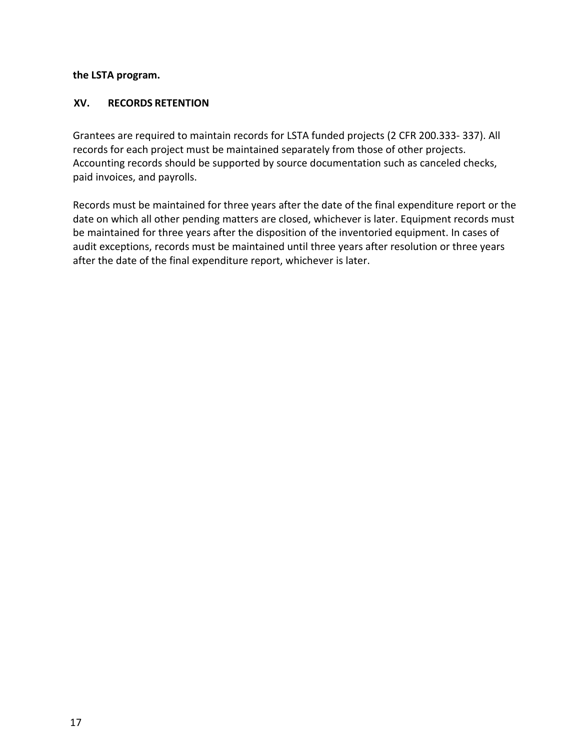#### **the LSTA program.**

## **XV. RECORDS RETENTION**

Grantees are required to maintain records for LSTA funded projects (2 CFR 200.333- 337). All records for each project must be maintained separately from those of other projects. Accounting records should be supported by source documentation such as canceled checks, paid invoices, and payrolls.

Records must be maintained for three years after the date of the final expenditure report or the date on which all other pending matters are closed, whichever is later. Equipment records must be maintained for three years after the disposition of the inventoried equipment. In cases of audit exceptions, records must be maintained until three years after resolution or three years after the date of the final expenditure report, whichever is later.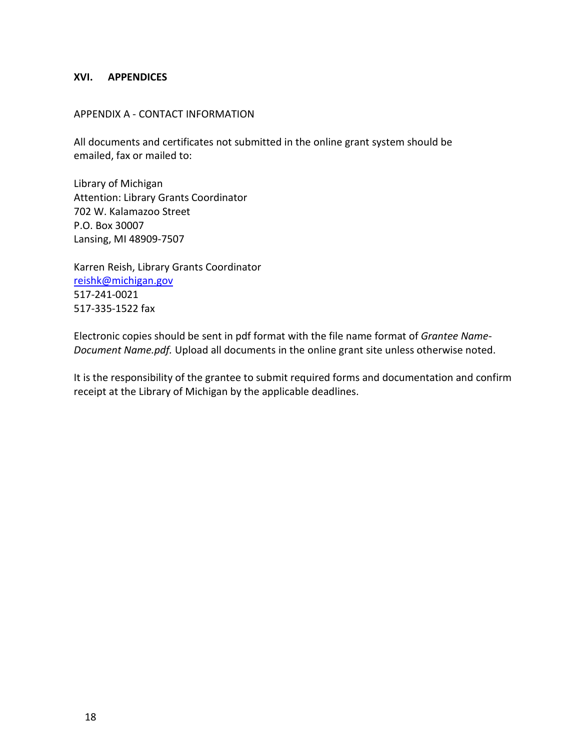#### <span id="page-17-0"></span>**XVI. APPENDICES**

#### APPENDIX A - CONTACT INFORMATION

All documents and certificates not submitted in the online grant system should be emailed, fax or mailed to:

Library of Michigan Attention: Library Grants Coordinator 702 W. Kalamazoo Street P.O. Box 30007 Lansing, MI 48909-7507

Karren Reish, Library Grants Coordinator [reishk@michigan.gov](mailto:reishk@michigan.gov) 517-241-0021 517-335-1522 fax

Electronic copies should be sent in pdf format with the file name format of *Grantee Name-Document Name.pdf.* Upload all documents in the online grant site unless otherwise noted.

It is the responsibility of the grantee to submit required forms and documentation and confirm receipt at the Library of Michigan by the applicable deadlines.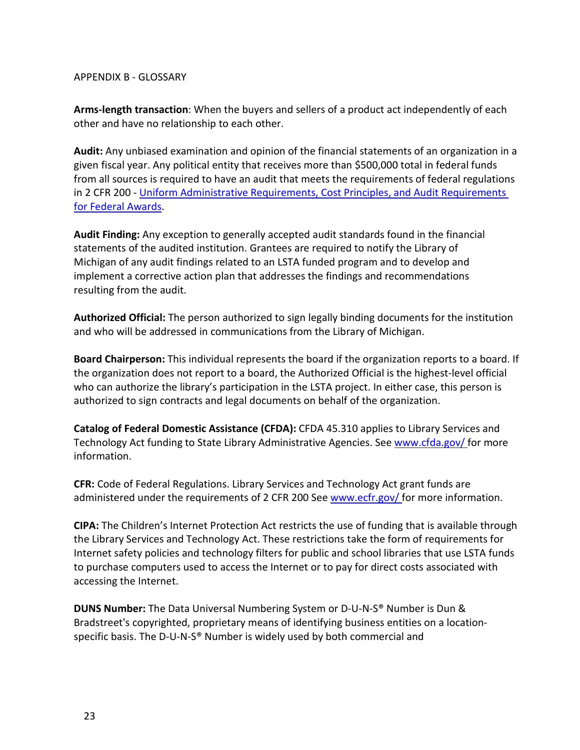#### APPENDIX B - GLOSSARY

**Arms-length transaction**: When the buyers and sellers of a product act independently of each other and have no relationship to each other.

**Audit:** Any unbiased examination and opinion of the financial statements of an organization in a given fiscal year. Any political entity that receives more than \$500,000 total in federal funds from all sources is required to have an audit that meets the requirements of federal regulations in 2 CFR 200 - [Uniform Administrative](https://www.federalregister.gov/articles/2013/12/26/2013-30465/uniform-administrative-requirements-cost-principles-and-audit-requirements-for-federal-awards#sec-200-33) [Requirements, Cost Principles, and Audit Requirements](https://www.federalregister.gov/articles/2013/12/26/2013-30465/uniform-administrative-requirements-cost-principles-and-audit-requirements-for-federal-awards#sec-200-33)  [for Federal Awards.](https://www.federalregister.gov/articles/2013/12/26/2013-30465/uniform-administrative-requirements-cost-principles-and-audit-requirements-for-federal-awards#sec-200-33)

**Audit Finding:** Any exception to generally accepted audit standards found in the financial statements of the audited institution. Grantees are required to notify the Library of Michigan of any audit findings related to an LSTA funded program and to develop and implement a corrective action plan that addresses the findings and recommendations resulting from the audit.

**Authorized Official:** The person authorized to sign legally binding documents for the institution and who will be addressed in communications from the Library of Michigan.

**Board Chairperson:** This individual represents the board if the organization reports to a board. If the organization does not report to a board, the Authorized Official is the highest-level official who can authorize the library's participation in the LSTA project. In either case, this person is authorized to sign contracts and legal documents on behalf of the organization.

**Catalog of Federal Domestic Assistance (CFDA):** CFDA 45.310 applies to Library Services and Technology Act funding to State Library Administrative Agencies. See [www.cfda.gov/ f](http://www.cfda.gov/)or more information.

**CFR:** Code of Federal Regulations. Library Services and Technology Act grant funds are administered under the requirements of 2 CFR 200 See [www.ecfr.gov/ f](http://www.ecfr.gov/)or more information.

**CIPA:** The Children's Internet Protection Act restricts the use of funding that is available through the Library Services and Technology Act. These restrictions take the form of requirements for Internet safety policies and technology filters for public and school libraries that use LSTA funds to purchase computers used to access the Internet or to pay for direct costs associated with accessing the Internet.

**DUNS Number:** The Data Universal Numbering System or D-U-N-S® Number is Dun & Bradstreet's copyrighted, proprietary means of identifying business entities on a locationspecific basis. The D-U-N-S® Number is widely used by both commercial and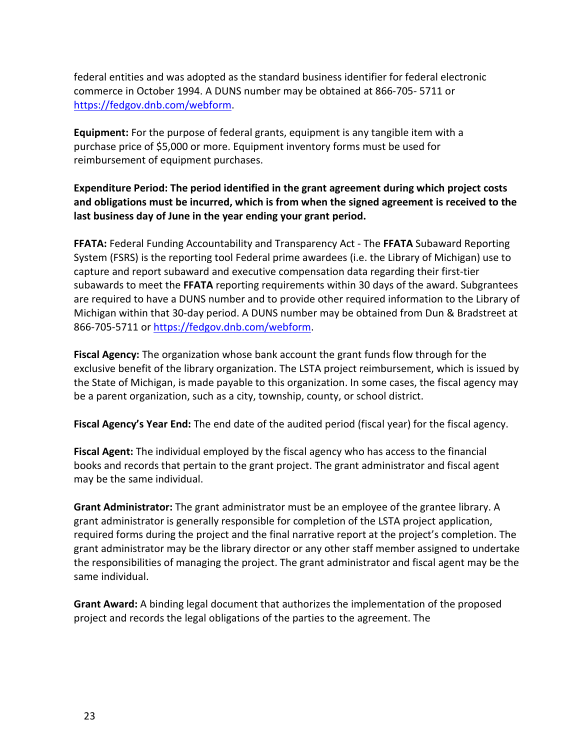federal entities and was adopted as the standard business identifier for federal electronic commerce in October 1994. A DUNS number may be obtained at 866-705- 5711 or [https://fedgov.dnb.com/webform.](https://fedgov.dnb.com/webform)

**Equipment:** For the purpose of federal grants, equipment is any tangible item with a purchase price of \$5,000 or more. Equipment inventory forms must be used for reimbursement of equipment purchases.

**Expenditure Period: The period identified in the grant agreement during which project costs and obligations must be incurred, which is from when the signed agreement is received to the last business day of June in the year ending your grant period.**

**FFATA:** Federal Funding Accountability and Transparency Act - The **FFATA** Subaward Reporting System (FSRS) is the reporting tool Federal prime awardees (i.e. the Library of Michigan) use to capture and report subaward and executive compensation data regarding their first-tier subawards to meet the **FFATA** reporting requirements within 30 days of the award. Subgrantees are required to have a DUNS number and to provide other required information to the Library of Michigan within that 30-day period. A DUNS number may be obtained from Dun & Bradstreet at 866-705-5711 or [https://fedgov.dnb.com/webform.](https://fedgov.dnb.com/webform)

**Fiscal Agency:** The organization whose bank account the grant funds flow through for the exclusive benefit of the library organization. The LSTA project reimbursement, which is issued by the State of Michigan, is made payable to this organization. In some cases, the fiscal agency may be a parent organization, such as a city, township, county, or school district.

**Fiscal Agency's Year End:** The end date of the audited period (fiscal year) for the fiscal agency.

**Fiscal Agent:** The individual employed by the fiscal agency who has access to the financial books and records that pertain to the grant project. The grant administrator and fiscal agent may be the same individual.

**Grant Administrator:** The grant administrator must be an employee of the grantee library. A grant administrator is generally responsible for completion of the LSTA project application, required forms during the project and the final narrative report at the project's completion. The grant administrator may be the library director or any other staff member assigned to undertake the responsibilities of managing the project. The grant administrator and fiscal agent may be the same individual.

**Grant Award:** A binding legal document that authorizes the implementation of the proposed project and records the legal obligations of the parties to the agreement. The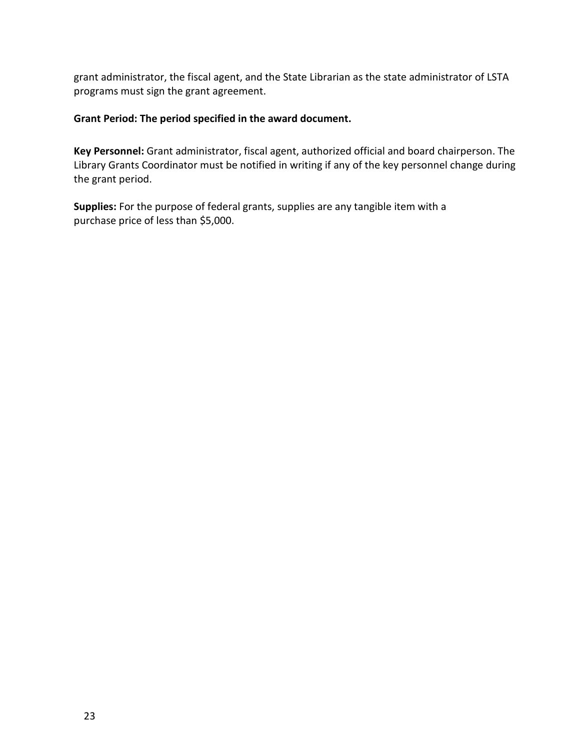grant administrator, the fiscal agent, and the State Librarian as the state administrator of LSTA programs must sign the grant agreement.

#### **Grant Period: The period specified in the award document.**

**Key Personnel:** Grant administrator, fiscal agent, authorized official and board chairperson. The Library Grants Coordinator must be notified in writing if any of the key personnel change during the grant period.

**Supplies:** For the purpose of federal grants, supplies are any tangible item with a purchase price of less than \$5,000.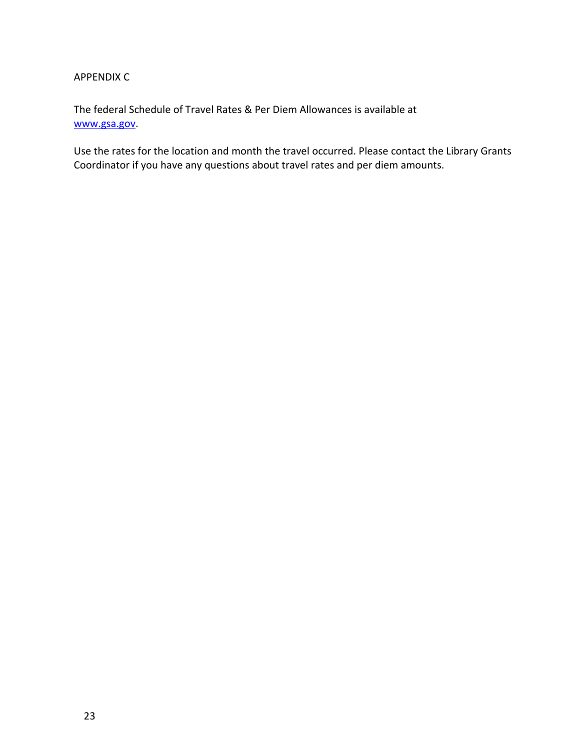## APPENDIX C

The federal Schedule of Travel Rates & Per Diem Allowances is available at [www.gsa.gov.](http://www.gsa.gov/)

Use the rates for the location and month the travel occurred. Please contact the Library Grants Coordinator if you have any questions about travel rates and per diem amounts.